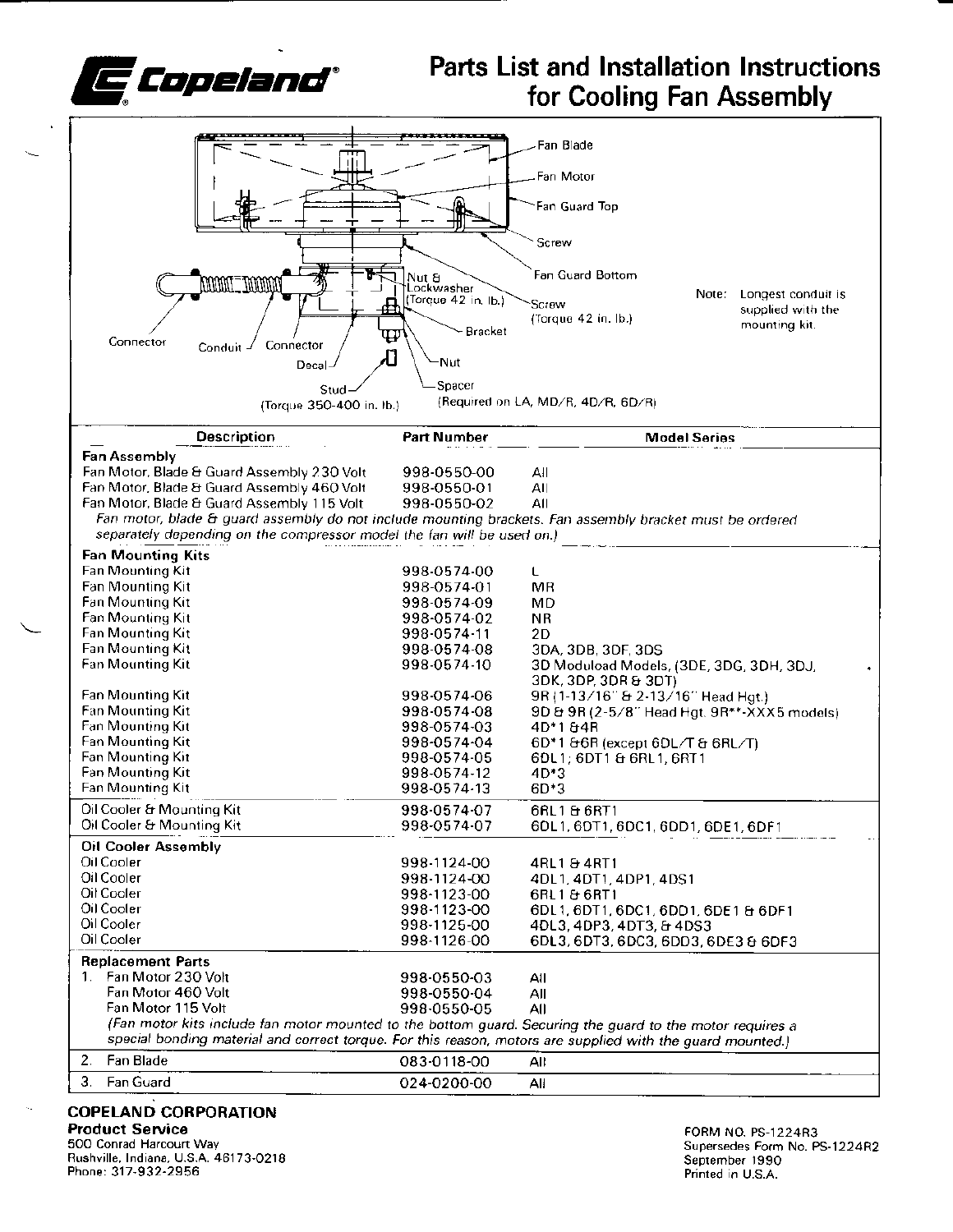

## **Parts List and Installation Instructions** for Cooling Fan Assembly

|                                                                                                                                                                                                                         |                                   | Fan Blade                                                        |  |  |  |  |  |
|-------------------------------------------------------------------------------------------------------------------------------------------------------------------------------------------------------------------------|-----------------------------------|------------------------------------------------------------------|--|--|--|--|--|
|                                                                                                                                                                                                                         |                                   |                                                                  |  |  |  |  |  |
|                                                                                                                                                                                                                         |                                   | Fan Motor                                                        |  |  |  |  |  |
|                                                                                                                                                                                                                         |                                   | Fan Guard Top                                                    |  |  |  |  |  |
|                                                                                                                                                                                                                         |                                   | Screw                                                            |  |  |  |  |  |
|                                                                                                                                                                                                                         | Nut &                             | Fan Guard Bottom                                                 |  |  |  |  |  |
| MANAL_NANAM                                                                                                                                                                                                             | Lockwasher<br>(Torque 42 in, Ib.) | Note: Longest conduit is                                         |  |  |  |  |  |
|                                                                                                                                                                                                                         |                                   | Screw<br>supplied with the<br>(Torque 42 in. lb.)                |  |  |  |  |  |
|                                                                                                                                                                                                                         | Bracket<br>Ψ                      | mounting kit.                                                    |  |  |  |  |  |
| Connector<br>Connector<br>Conduit                                                                                                                                                                                       | Ŋ                                 |                                                                  |  |  |  |  |  |
| Decal                                                                                                                                                                                                                   | Nut-                              |                                                                  |  |  |  |  |  |
| Stud                                                                                                                                                                                                                    | Spacer                            |                                                                  |  |  |  |  |  |
| (Torque 350-400 in. lb.)                                                                                                                                                                                                |                                   | (Required on LA, MD/R, 4D/R, 6D/R)                               |  |  |  |  |  |
| <b>Description</b>                                                                                                                                                                                                      | <b>Part Number</b>                | <b>Model Series</b>                                              |  |  |  |  |  |
| <b>Fan Assembly</b>                                                                                                                                                                                                     |                                   |                                                                  |  |  |  |  |  |
| Fan Motor, Blade & Guard Assembly 230 Volt                                                                                                                                                                              | 998-0550-00                       | All                                                              |  |  |  |  |  |
| Fan Motor, Blade & Guard Assembly 460 Volt                                                                                                                                                                              | 998-0550-01                       | All<br>All                                                       |  |  |  |  |  |
| Fan Motor, Blade & Guard Assembly 115 Volt<br>Fan motor, blade & guard assembly do not include mounting brackets. Fan assembly bracket must be ordered                                                                  | 998-0550-02                       |                                                                  |  |  |  |  |  |
| separately depending on the compressor model the fan will be used on.)                                                                                                                                                  |                                   |                                                                  |  |  |  |  |  |
| <b>Fan Mounting Kits</b>                                                                                                                                                                                                |                                   |                                                                  |  |  |  |  |  |
| Fan Mounting Kit                                                                                                                                                                                                        | 998-0574-00                       | L                                                                |  |  |  |  |  |
| Fan Mounting Kit                                                                                                                                                                                                        | 998-0574-01                       | MR                                                               |  |  |  |  |  |
| Fan Mounting Kit                                                                                                                                                                                                        | 998-0574-09                       | MD                                                               |  |  |  |  |  |
| Fan Mounting Kit                                                                                                                                                                                                        | 998-0574-02                       | <b>NR</b>                                                        |  |  |  |  |  |
| <b>Fan Mounting Kit</b>                                                                                                                                                                                                 | 998-0574-11                       | 2D                                                               |  |  |  |  |  |
| Fan Mounting Kit<br>Fan Mounting Kit                                                                                                                                                                                    | 998-0574-08<br>998-0574-10        | 3DA, 3DB, 3DF, 3DS                                               |  |  |  |  |  |
|                                                                                                                                                                                                                         |                                   | 3D Moduload Models, (3DE, 3DG, 3DH, 3DJ,<br>3DK, 3DP, 3DR & 3DT) |  |  |  |  |  |
| Fan Mounting Kit                                                                                                                                                                                                        | 998-0574-06                       | 9R (1-13/16" & 2-13/16" Head Hgt.)                               |  |  |  |  |  |
| Fan Mounting Kit                                                                                                                                                                                                        | 998-0574-08                       | 9D & 9R (2-5/8" Head Hgt. 9R**-XXX5 models)                      |  |  |  |  |  |
| Fan Mounting Kit                                                                                                                                                                                                        | 998-0574-03                       | 4D*184R                                                          |  |  |  |  |  |
| Fan Mounting Kit                                                                                                                                                                                                        | 998-0574-04                       | 6D*1 &6R (except 6DL/T & 6RL/T)                                  |  |  |  |  |  |
| Fan Mounting Kit<br>Fan Mounting Kit                                                                                                                                                                                    | 998-0574-05<br>998-0574-12        | 6DL1; 6DT1 & 6RL1, 6RT1<br>4D*3                                  |  |  |  |  |  |
| Fan Mounting Kit                                                                                                                                                                                                        | 998-0574-13                       | $6D+3$                                                           |  |  |  |  |  |
| Oil Cooler & Mounting Kit                                                                                                                                                                                               | 998-0574-07                       | 6RL1 & 6RT1                                                      |  |  |  |  |  |
| Oil Cooler & Mounting Kit                                                                                                                                                                                               | 998-0574-07                       | 6DL1, 6DT1, 6DC1, 6DD1, 6DE1, 6DF1                               |  |  |  |  |  |
| <b>Oil Cooler Assembly</b>                                                                                                                                                                                              |                                   |                                                                  |  |  |  |  |  |
| Oil Cooler                                                                                                                                                                                                              | 998-1124-00                       | 4RL1 & 4RT1                                                      |  |  |  |  |  |
| Oil Cooler                                                                                                                                                                                                              | 998-1124-00                       | 4DL1, 4DT1, 4DP1, 4DS1                                           |  |  |  |  |  |
| Oil Cooler                                                                                                                                                                                                              | 998-1123-00                       | 6RL1 & 6RT1                                                      |  |  |  |  |  |
| Oil Cooler                                                                                                                                                                                                              | 998-1123-00                       | 6DL1, 6DT1, 6DC1, 6DD1, 6DE1 & 6DF1                              |  |  |  |  |  |
| Oil Cooler                                                                                                                                                                                                              | 998-1125-00                       | 4DL3, 4DP3, 4DT3, & 4DS3                                         |  |  |  |  |  |
| Oil Cooler                                                                                                                                                                                                              | 998-1126-00                       | 6DL3, 6DT3, 6DC3, 6DD3, 6DE3 & 6DF3                              |  |  |  |  |  |
| <b>Replacement Parts</b>                                                                                                                                                                                                |                                   |                                                                  |  |  |  |  |  |
| 1. Fan Motor 230 Volt<br>Fan Motor 460 Volt                                                                                                                                                                             | 998-0550-03                       | All                                                              |  |  |  |  |  |
| Fan Motor 115 Volt                                                                                                                                                                                                      | 998-0550-04<br>998-0550-05        | Αll<br>All                                                       |  |  |  |  |  |
|                                                                                                                                                                                                                         |                                   |                                                                  |  |  |  |  |  |
| (Fan motor kits include fan motor mounted to the bottom guard. Securing the guard to the motor requires a<br>special bonding material and correct torque. For this reason, motors are supplied with the guard mounted.) |                                   |                                                                  |  |  |  |  |  |
| Fan Blade<br>2.                                                                                                                                                                                                         | 083-0118-00                       | All                                                              |  |  |  |  |  |
| 3.<br>Fan Guard                                                                                                                                                                                                         | 024-0200-00                       | All                                                              |  |  |  |  |  |
|                                                                                                                                                                                                                         |                                   |                                                                  |  |  |  |  |  |

## **COPELAND CORPORATION**

**Product Service** 500 Conrad Harcourt Way Rushville, Indiana, U.S.A. 46173-0218 Phone: 317-932-2956

FORM NO. PS-1224R3 Supersedes Form No. PS-1224R2 September 1990<br>Printed in U.S.A.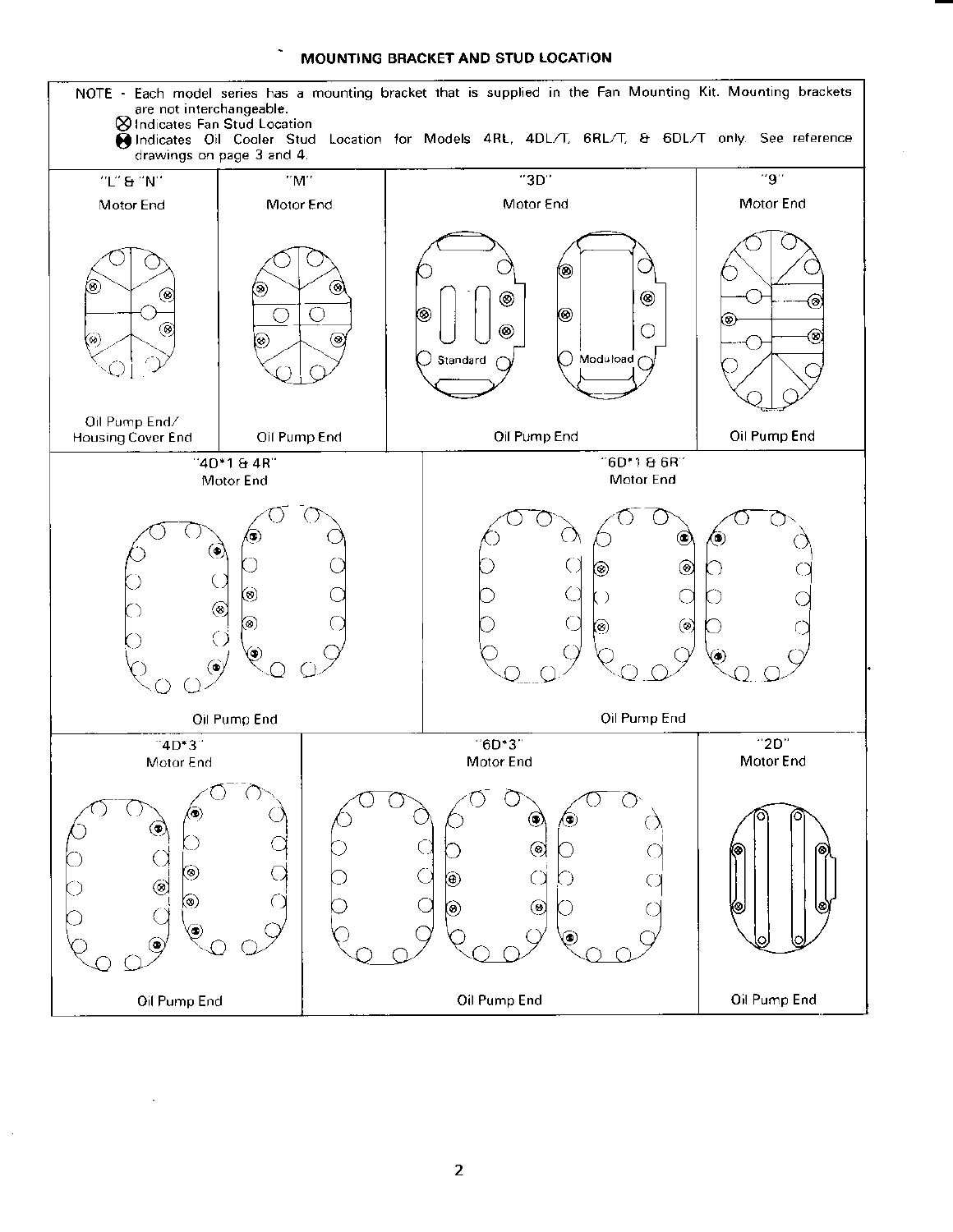## MOUNTING BRACKET AND STUD LOCATION

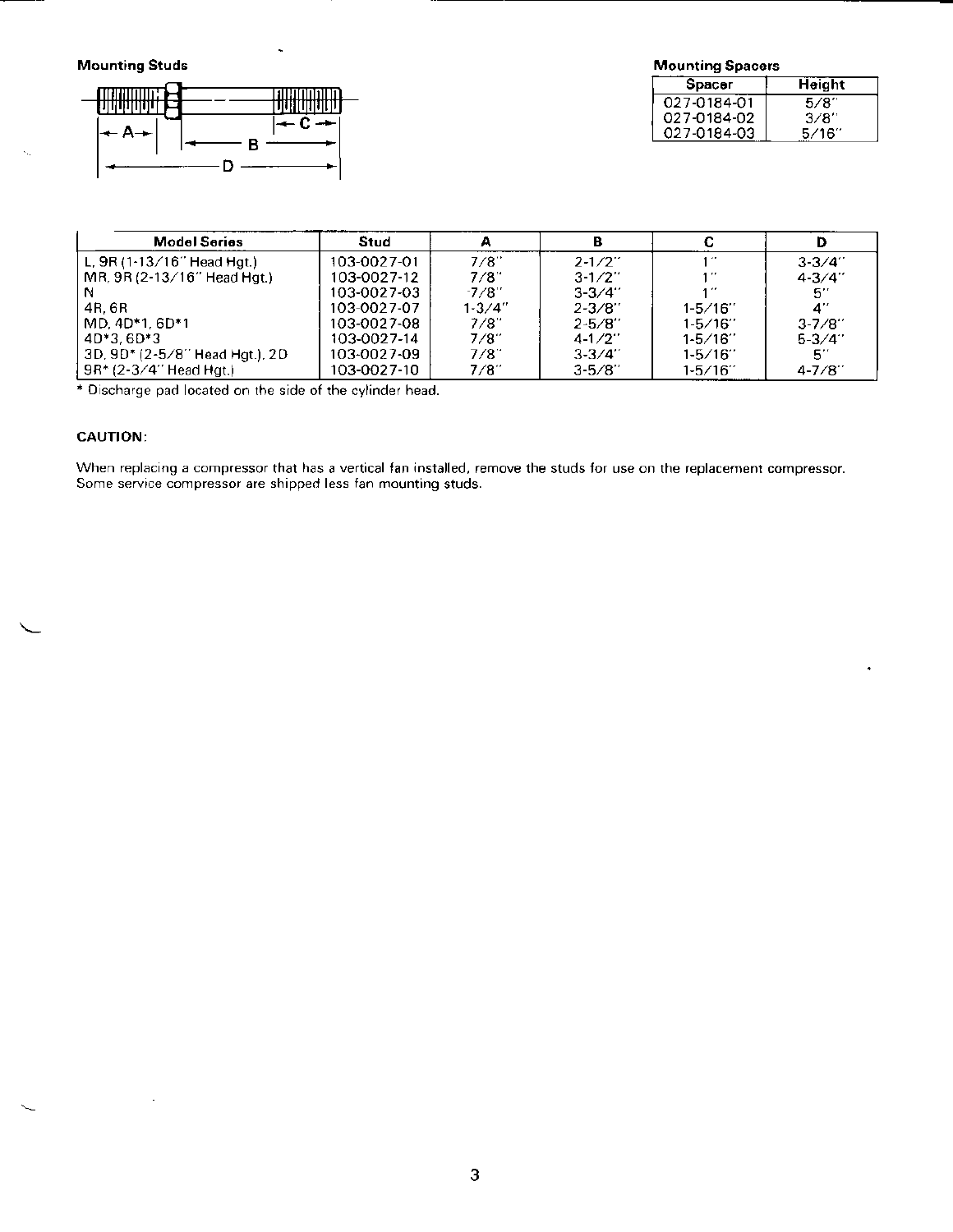**Mounting Studs** 



| <b>Mounting Spacers</b> |        |  |  |  |
|-------------------------|--------|--|--|--|
| Spacer                  | Height |  |  |  |
| 027-0184-01             | 5/8″   |  |  |  |
| 027-0184-02             | 3/8″   |  |  |  |
| 027-0184-03             | 5/16″  |  |  |  |

| <b>Model Series</b>              | Stud        | А          |             |              |             |
|----------------------------------|-------------|------------|-------------|--------------|-------------|
| L, $9R(1.13/16"$ Head Hgt.)      | 103-0027-01 | 7/8"       | $2 - 1/2$   | .            | $3 - 3 / 4$ |
| $MR, 9R (2-13/16" Head Hat.)$    | 103-0027-12 | 7/8"       | $3-1/2$     |              | $4 - 3/4$ " |
|                                  | 103-0027-03 | $-7/8$     | $3 - 3 / 4$ |              | $5^{\circ}$ |
| 4R. 6R                           | 103-0027-07 | $1 - 3/4"$ | $2 - 3/8$   | $1 - 5/16$   | 4"          |
| MD. 4D*1. 6D*1                   | 103-0027-08 | 7/8"       | $2 - 5/8"$  | $1-5/16$     | $3 - 7/8$   |
| $4D*3.6D*3$                      | 103-0027-14 | 7/8"       | $4 - 1/2$   | $1 - 5 / 16$ | $5 - 3 / 4$ |
| 3D, 9D* (2-5/8'' Head Hgt.), 2D- | 103-0027-09 | 7/8"       | $3 - 3/4$   | $1 - 5/16$   | 51          |
| 9R* (2-3/4″ Head Hgt.)           | 103-0027-10 | 7/8″       | $3 - 5/8$   | $1 - 5/16$   | $4 - 7/8$   |

\* Discharge pad located on the side of the cylinder head.

## **CAUTION:**

When replacing a compressor that has a vertical fan installed, remove the studs for use on the replacement compressor. Some service compressor are shipped less fan mounting studs.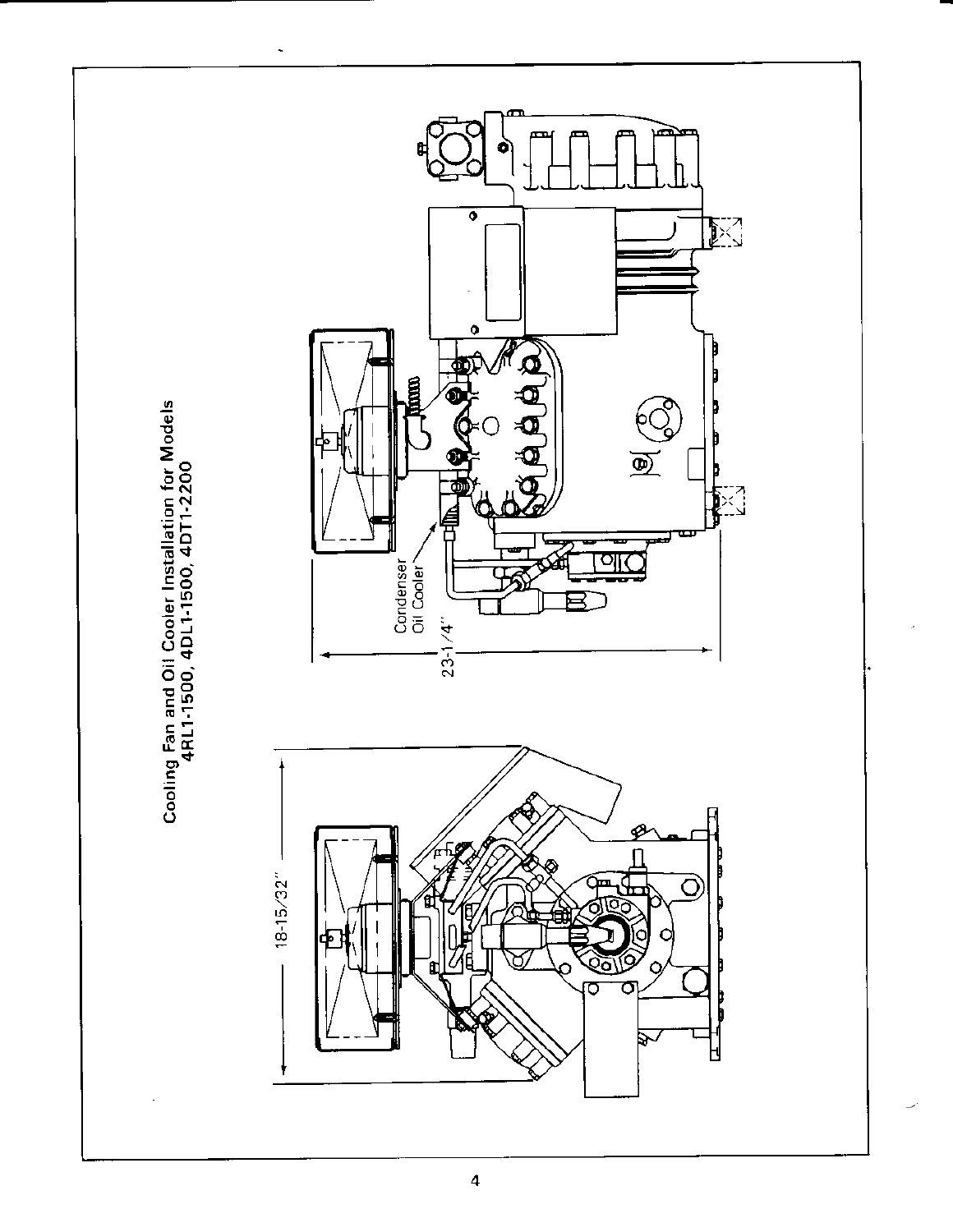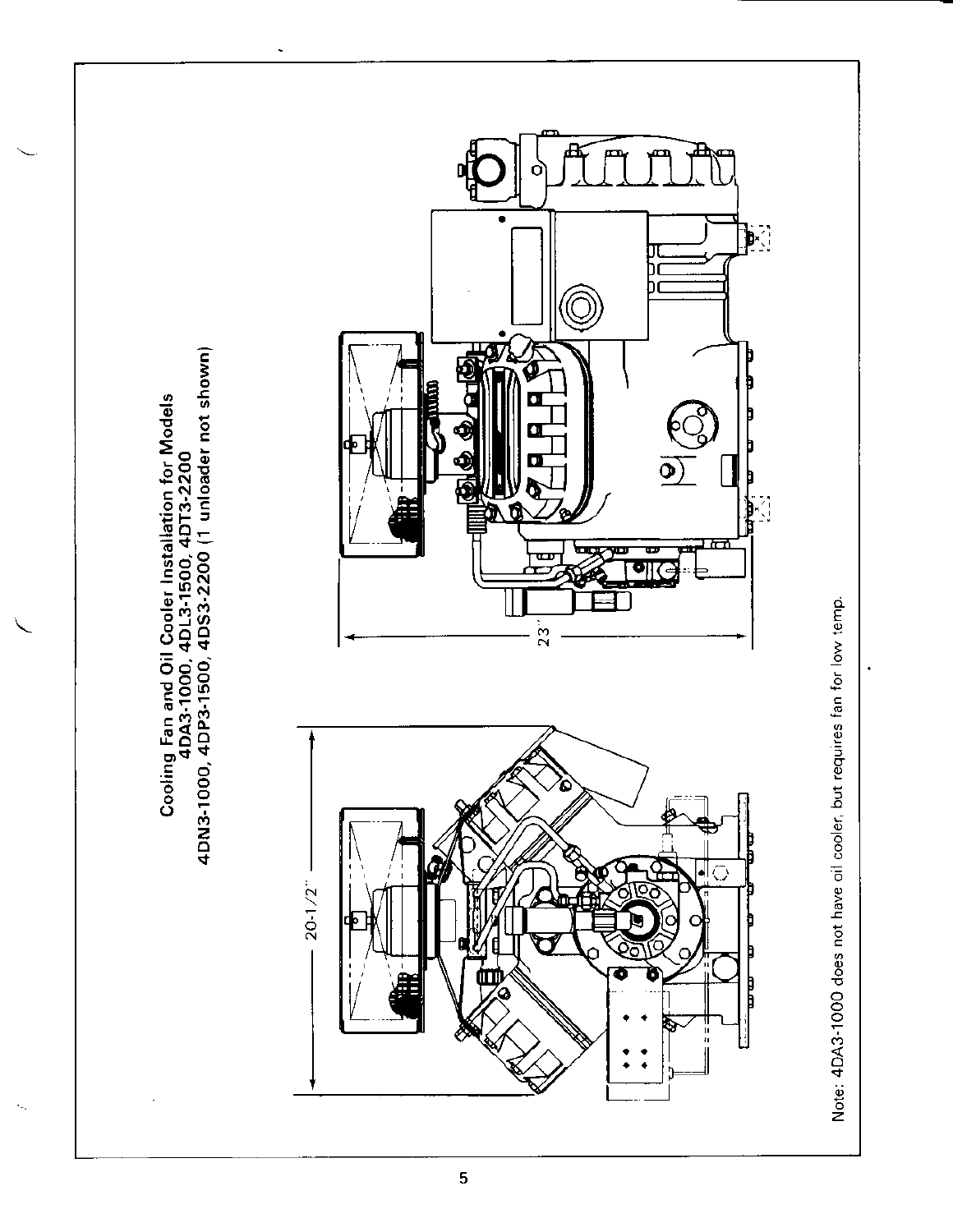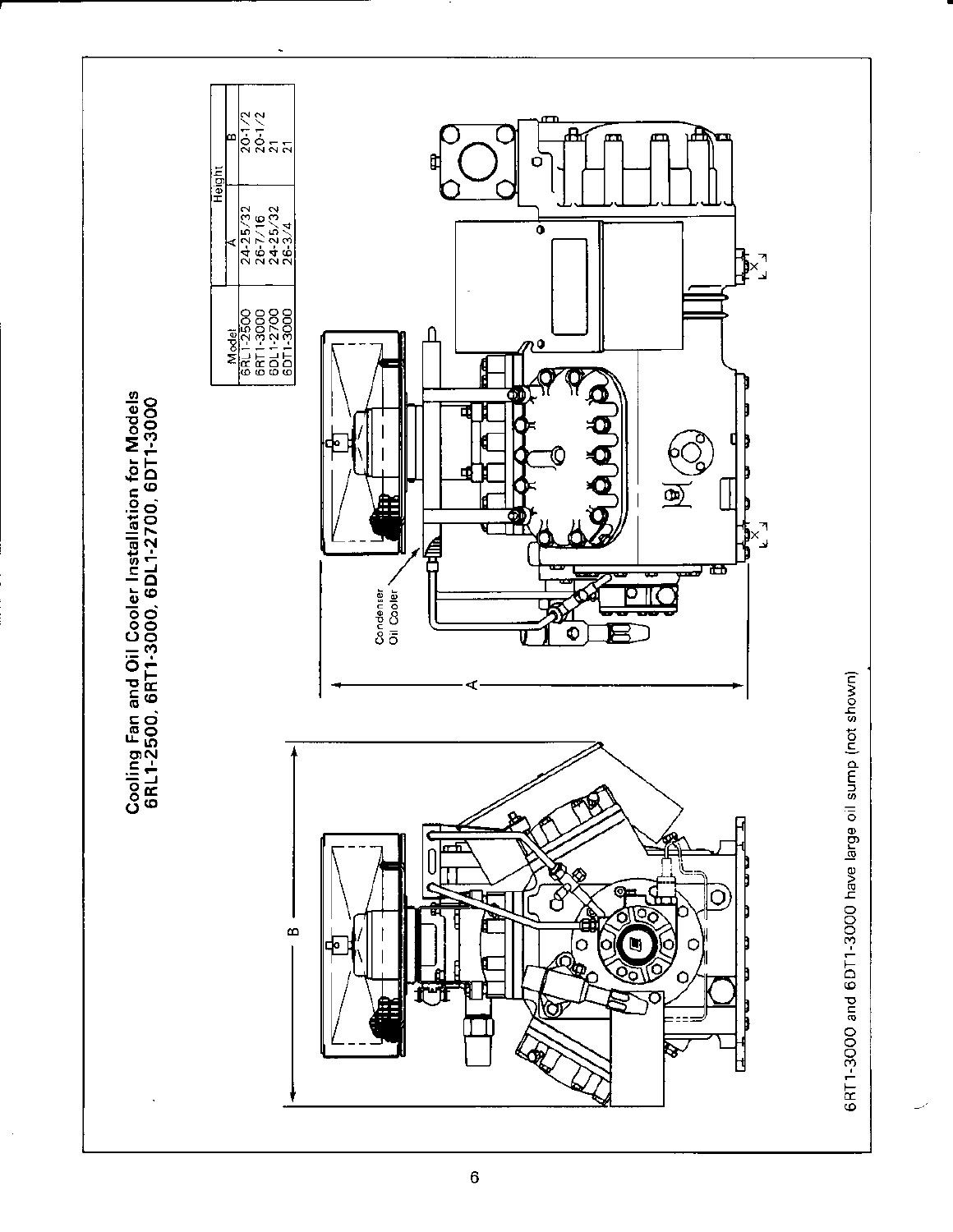

 $\bf 6$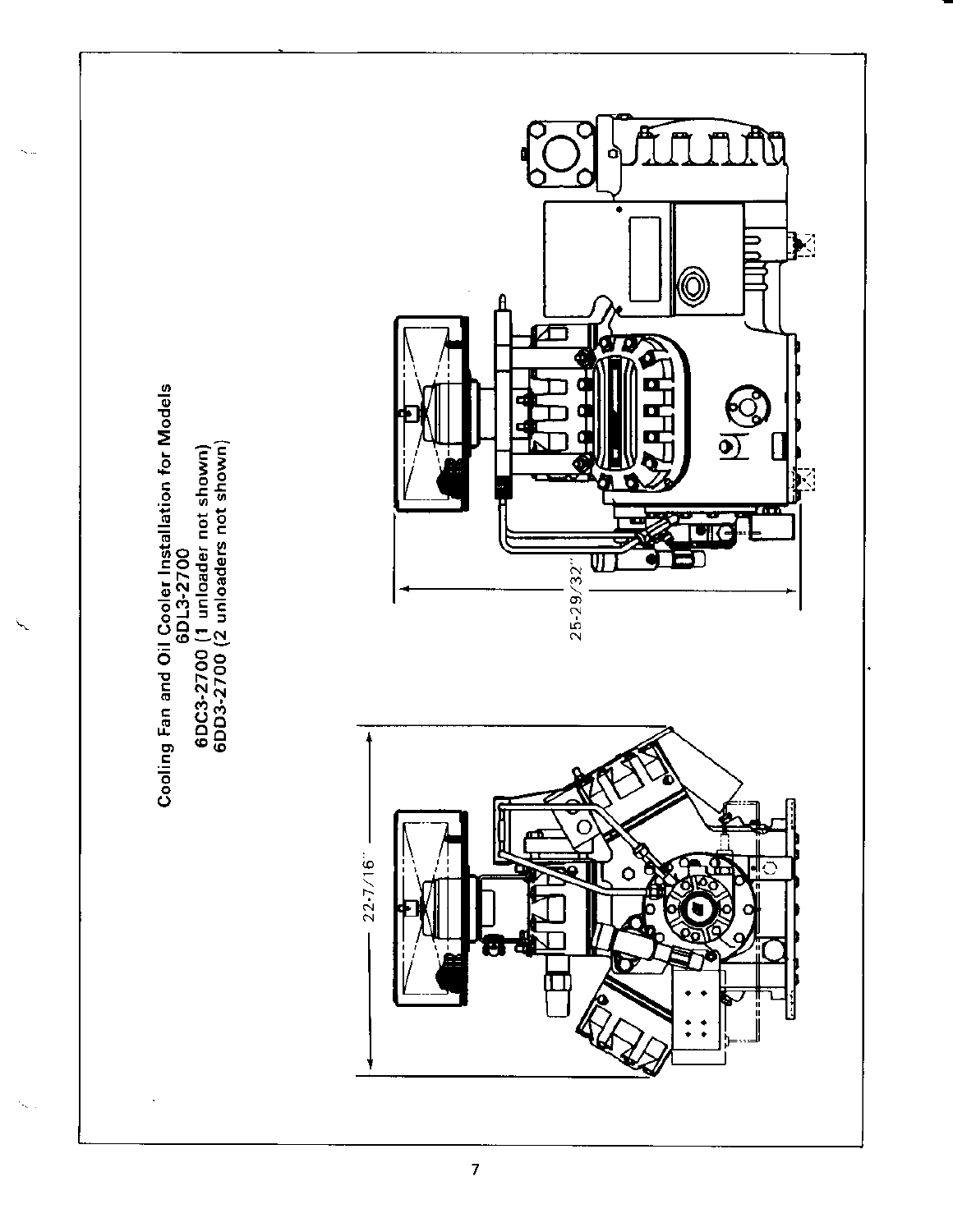

 $\mathbf{Q}_{\mathrm{max}}$ 

 $\bar{z}$